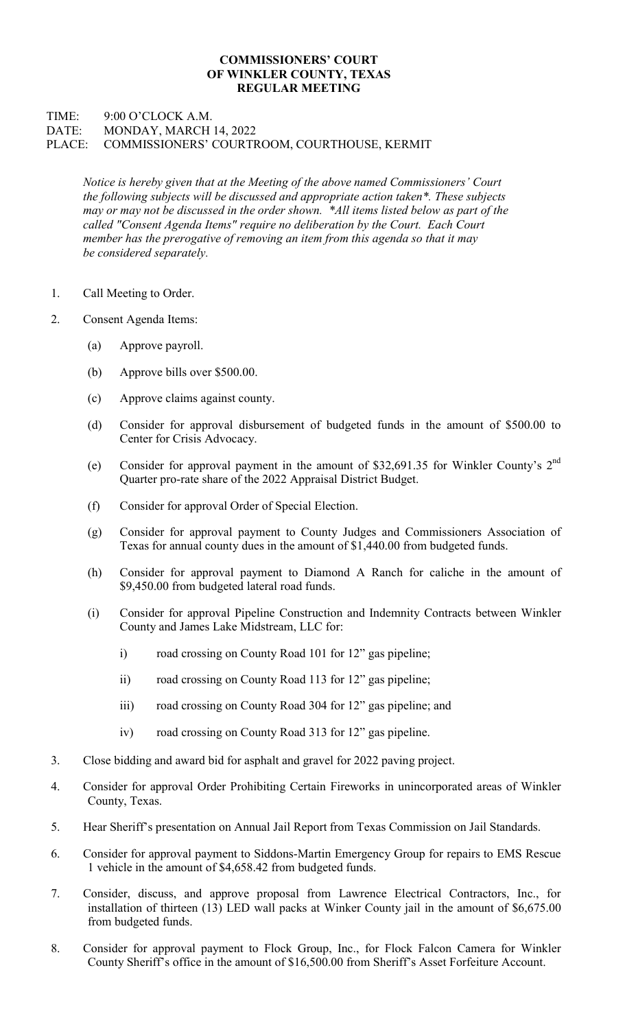## COMMISSIONERS' COURT OF WINKLER COUNTY, TEXAS REGULAR MEETING

## TIME: 9:00 O'CLOCK A.M. DATE: MONDAY, MARCH 14, 2022 PLACE: COMMISSIONERS' COURTROOM, COURTHOUSE, KERMIT

Notice is hereby given that at the Meeting of the above named Commissioners' Court the following subjects will be discussed and appropriate action taken\*. These subjects may or may not be discussed in the order shown. \*All items listed below as part of the called "Consent Agenda Items" require no deliberation by the Court. Each Court member has the prerogative of removing an item from this agenda so that it may be considered separately.

- 1. Call Meeting to Order.
- 2. Consent Agenda Items:
	- (a) Approve payroll.
	- (b) Approve bills over \$500.00.
	- (c) Approve claims against county.
	- (d) Consider for approval disbursement of budgeted funds in the amount of \$500.00 to Center for Crisis Advocacy.
	- (e) Consider for approval payment in the amount of \$32,691.35 for Winkler County's 2nd Quarter pro-rate share of the 2022 Appraisal District Budget.
	- (f) Consider for approval Order of Special Election.
	- (g) Consider for approval payment to County Judges and Commissioners Association of Texas for annual county dues in the amount of \$1,440.00 from budgeted funds.
	- (h) Consider for approval payment to Diamond A Ranch for caliche in the amount of \$9,450.00 from budgeted lateral road funds.
	- (i) Consider for approval Pipeline Construction and Indemnity Contracts between Winkler County and James Lake Midstream, LLC for:
		- i) road crossing on County Road 101 for 12" gas pipeline;
		- ii) road crossing on County Road 113 for 12" gas pipeline;
		- iii) road crossing on County Road 304 for 12" gas pipeline; and
		- iv) road crossing on County Road 313 for 12" gas pipeline.
- 3. Close bidding and award bid for asphalt and gravel for 2022 paving project.
- 4. Consider for approval Order Prohibiting Certain Fireworks in unincorporated areas of Winkler County, Texas.
- 5. Hear Sheriff's presentation on Annual Jail Report from Texas Commission on Jail Standards.
- 6. Consider for approval payment to Siddons-Martin Emergency Group for repairs to EMS Rescue 1 vehicle in the amount of \$4,658.42 from budgeted funds.
- 7. Consider, discuss, and approve proposal from Lawrence Electrical Contractors, Inc., for installation of thirteen (13) LED wall packs at Winker County jail in the amount of \$6,675.00 from budgeted funds.
- 8. Consider for approval payment to Flock Group, Inc., for Flock Falcon Camera for Winkler County Sheriff's office in the amount of \$16,500.00 from Sheriff's Asset Forfeiture Account.